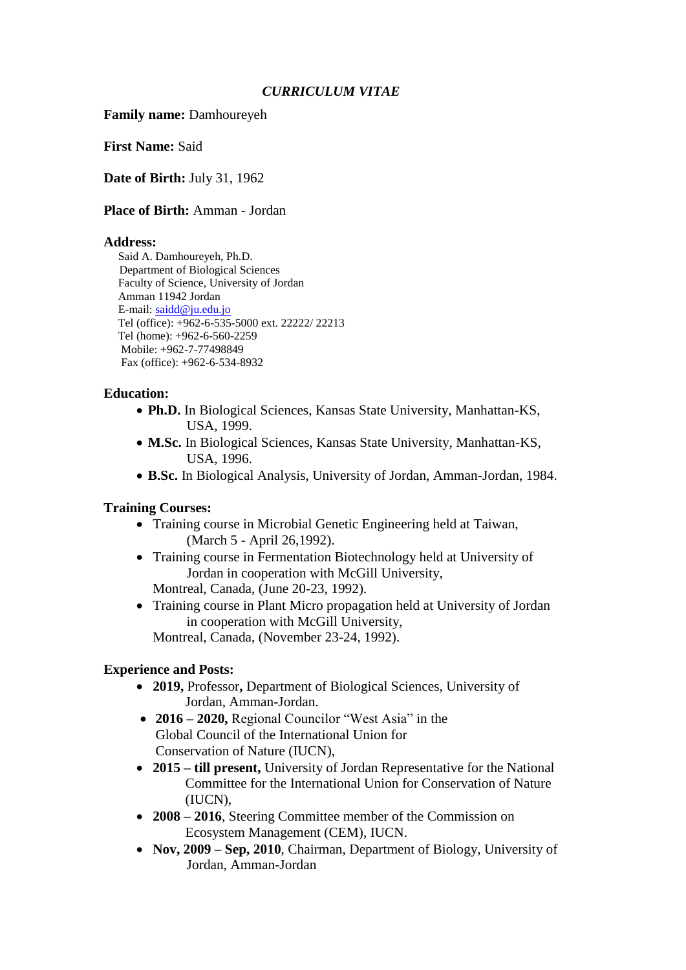### *CURRICULUM VITAE*

**Family name:** Damhoureyeh

**First Name:** Said

**Date of Birth:** July 31, 1962

**Place of Birth:** Amman - Jordan

#### **Address:**

 Said A. Damhoureyeh, Ph.D. Department of Biological Sciences Faculty of Science, University of Jordan Amman 11942 Jordan E-mail: [saidd@ju.edu.jo](mailto:saidd@ju.edu.jo) Tel (office): +962-6-535-5000 ext. 22222/ 22213 Tel (home): +962-6-560-2259 Mobile: +962-7-77498849 Fax (office): +962-6-534-8932

### **Education:**

- **Ph.D.** In Biological Sciences, Kansas State University, Manhattan-KS, USA, 1999.
- **M.Sc.** In Biological Sciences, Kansas State University, Manhattan-KS, USA, 1996.
- **B.Sc.** In Biological Analysis, University of Jordan, Amman-Jordan, 1984.

#### **Training Courses:**

- Training course in Microbial Genetic Engineering held at Taiwan, (March 5 - April 26,1992).
- Training course in Fermentation Biotechnology held at University of Jordan in cooperation with McGill University, Montreal, Canada, (June 20-23, 1992).
- Training course in Plant Micro propagation held at University of Jordan in cooperation with McGill University, Montreal, Canada, (November 23-24, 1992).

#### **Experience and Posts:**

- **2019,** Professor**,** Department of Biological Sciences, University of Jordan, Amman-Jordan.
- **2016 – 2020,** Regional Councilor "West Asia" in the Global Council of the International Union for Conservation of Nature (IUCN),
- **2015 – till present,** University of Jordan Representative for the National Committee for the International Union for Conservation of Nature (IUCN),
- **2008 – 2016**, Steering Committee member of the Commission on Ecosystem Management (CEM), IUCN.
- **Nov, 2009 Sep, 2010**, Chairman, Department of Biology, University of Jordan, Amman-Jordan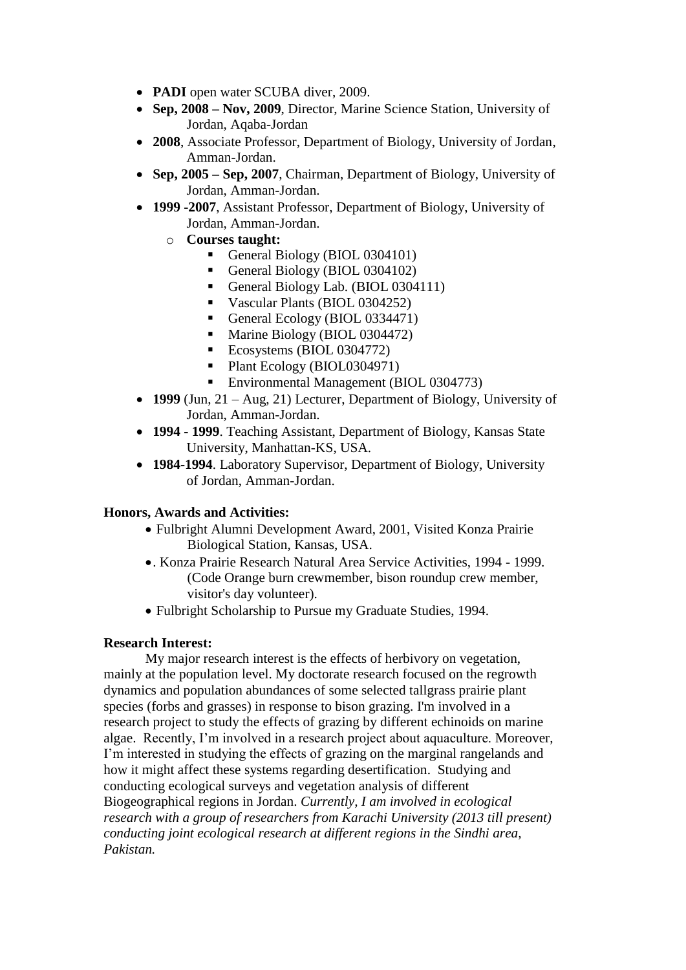- **PADI** open water SCUBA diver, 2009.
- **Sep, 2008 – Nov, 2009**, Director, Marine Science Station, University of Jordan, Aqaba-Jordan
- **2008**, Associate Professor, Department of Biology, University of Jordan, Amman-Jordan.
- **Sep, 2005 – Sep, 2007**, Chairman, Department of Biology, University of Jordan, Amman-Jordan.
- **1999 -2007**, Assistant Professor, Department of Biology, University of Jordan, Amman-Jordan.
	- o **Courses taught:** 
		- General Biology (BIOL 0304101)
		- General Biology (BIOL 0304102)
		- General Biology Lab. (BIOL 0304111)
		- Vascular Plants (BIOL 0304252)
		- General Ecology (BIOL 0334471)
		- Marine Biology (BIOL 0304472)
		- Ecosystems (BIOL 0304772)
		- Plant Ecology (BIOL0304971)
		- Environmental Management (BIOL 0304773)
- **1999** (Jun, 21 Aug, 21) Lecturer, Department of Biology, University of Jordan, Amman-Jordan.
- **1994 - 1999**. Teaching Assistant, Department of Biology, Kansas State University, Manhattan-KS, USA.
- **1984-1994**. Laboratory Supervisor, Department of Biology, University of Jordan, Amman-Jordan.

#### **Honors, Awards and Activities:**

- Fulbright Alumni Development Award, 2001, Visited Konza Prairie Biological Station, Kansas, USA.
- . Konza Prairie Research Natural Area Service Activities, 1994 1999. (Code Orange burn crewmember, bison roundup crew member, visitor's day volunteer).
- Fulbright Scholarship to Pursue my Graduate Studies, 1994.

#### **Research Interest:**

My major research interest is the effects of herbivory on vegetation, mainly at the population level. My doctorate research focused on the regrowth dynamics and population abundances of some selected tallgrass prairie plant species (forbs and grasses) in response to bison grazing. I'm involved in a research project to study the effects of grazing by different echinoids on marine algae. Recently, I'm involved in a research project about aquaculture. Moreover, I'm interested in studying the effects of grazing on the marginal rangelands and how it might affect these systems regarding desertification. Studying and conducting ecological surveys and vegetation analysis of different Biogeographical regions in Jordan. *Currently, I am involved in ecological research with a group of researchers from Karachi University (2013 till present) conducting joint ecological research at different regions in the Sindhi area, Pakistan.*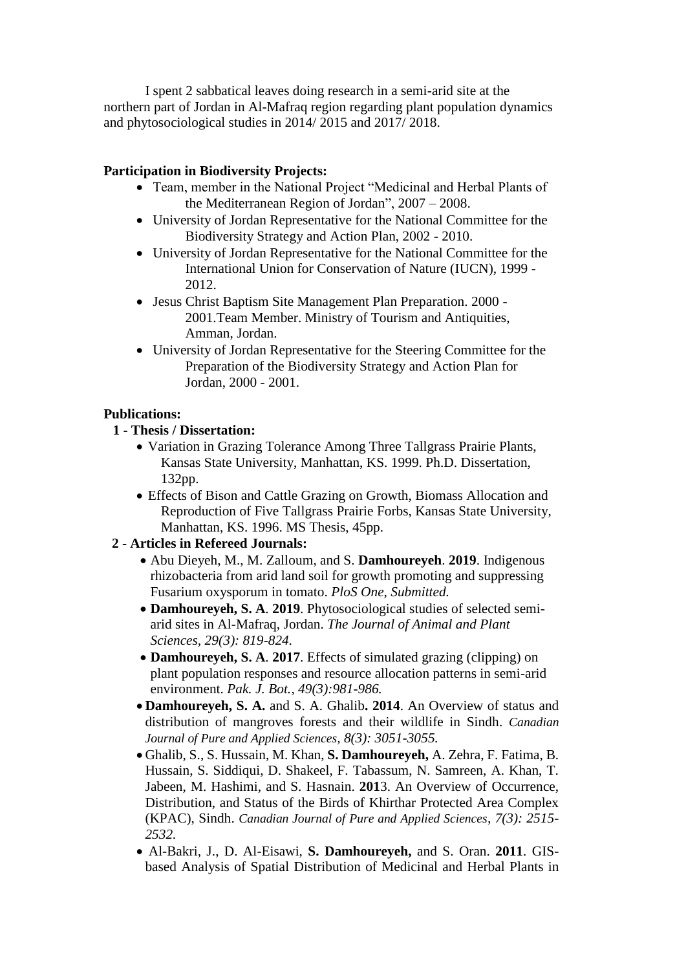I spent 2 sabbatical leaves doing research in a semi-arid site at the northern part of Jordan in Al-Mafraq region regarding plant population dynamics and phytosociological studies in 2014/ 2015 and 2017/ 2018.

### **Participation in Biodiversity Projects:**

- Team, member in the National Project "Medicinal and Herbal Plants of the Mediterranean Region of Jordan", 2007 – 2008.
- University of Jordan Representative for the National Committee for the Biodiversity Strategy and Action Plan, 2002 - 2010.
- University of Jordan Representative for the National Committee for the International Union for Conservation of Nature (IUCN), 1999 - 2012.
- Jesus Christ Baptism Site Management Plan Preparation. 2000 2001.Team Member. Ministry of Tourism and Antiquities, Amman, Jordan.
- University of Jordan Representative for the Steering Committee for the Preparation of the Biodiversity Strategy and Action Plan for Jordan, 2000 - 2001.

### **Publications:**

### **1 - Thesis / Dissertation:**

- Variation in Grazing Tolerance Among Three Tallgrass Prairie Plants, Kansas State University, Manhattan, KS. 1999. Ph.D. Dissertation, 132pp.
- Effects of Bison and Cattle Grazing on Growth, Biomass Allocation and Reproduction of Five Tallgrass Prairie Forbs, Kansas State University, Manhattan, KS. 1996. MS Thesis, 45pp.

#### **2 - Articles in Refereed Journals:**

- Abu Dieyeh, M., M. Zalloum, and S. **Damhoureyeh**. **2019**. Indigenous rhizobacteria from arid land soil for growth promoting and suppressing Fusarium oxysporum in tomato. *PloS One, Submitted.*
- **Damhoureyeh, S. A***.* **2019**. Phytosociological studies of selected semiarid sites in Al-Mafraq, Jordan. *The Journal of Animal and Plant Sciences, 29(3): 819-824.*
- **Damhoureyeh, S. A***.* **2017**. Effects of simulated grazing (clipping) on plant population responses and resource allocation patterns in semi-arid environment. *Pak. J. Bot., 49(3):981-986.*
- **Damhoureyeh, S. A.** and S. A. Ghalib**. 2014**. An Overview of status and distribution of mangroves forests and their wildlife in Sindh. *Canadian Journal of Pure and Applied Sciences, 8(3): 3051-3055.*
- Ghalib, S., S. Hussain, M. Khan, **S. Damhoureyeh,** A. Zehra, F. Fatima, B. Hussain, S. Siddiqui, D. Shakeel, F. Tabassum, N. Samreen, A. Khan, T. Jabeen, M. Hashimi, and S. Hasnain. **201**3. An Overview of Occurrence, Distribution, and Status of the Birds of Khirthar Protected Area Complex (KPAC), Sindh. *Canadian Journal of Pure and Applied Sciences, 7(3): 2515- 2532.*
- Al-Bakri, J., D. Al-Eisawi, **S. Damhoureyeh,** and S. Oran. **2011**. GISbased Analysis of Spatial Distribution of Medicinal and Herbal Plants in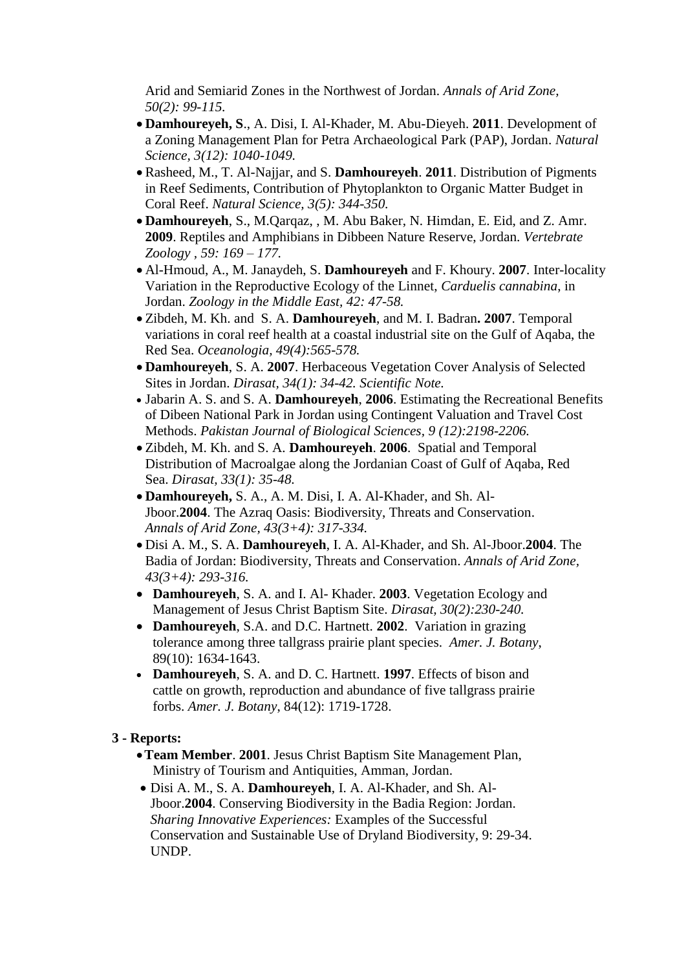Arid and Semiarid Zones in the Northwest of Jordan. *Annals of Arid Zone, 50(2): 99-115.*

- **Damhoureyeh, S**., A. Disi, I. Al-Khader, M. Abu-Dieyeh. **2011**. Development of a Zoning Management Plan for Petra Archaeological Park (PAP), Jordan. *Natural Science, 3(12): 1040-1049.*
- Rasheed, M., T. Al-Najjar, and S. **Damhoureyeh**. **2011**. Distribution of Pigments in Reef Sediments, Contribution of Phytoplankton to Organic Matter Budget in Coral Reef. *Natural Science, 3(5): 344-350.*
- **Damhoureyeh**, S., M.Qarqaz, , M. Abu Baker, N. Himdan, E. Eid, and Z. Amr. **2009**. Reptiles and Amphibians in Dibbeen Nature Reserve, Jordan. *Vertebrate Zoology , 59: 169 – 177.*
- Al-Hmoud, A., M. Janaydeh, S. **Damhoureyeh** and F. Khoury. **2007**. Inter-locality Variation in the Reproductive Ecology of the Linnet, *Carduelis cannabina*, in Jordan. *Zoology in the Middle East, 42: 47-58.*
- Zibdeh, M. Kh. and S. A. **Damhoureyeh**, and M. I. Badran**. 2007**. Temporal variations in coral reef health at a coastal industrial site on the Gulf of Aqaba, the Red Sea. *Oceanologia, 49(4):565-578.*
- **Damhoureyeh**, S. A. **2007**. Herbaceous Vegetation Cover Analysis of Selected Sites in Jordan. *Dirasat, 34(1): 34-42. Scientific Note.*
- Jabarin A. S. and S. A. **Damhoureyeh**, **2006**. Estimating the Recreational Benefits of Dibeen National Park in Jordan using Contingent Valuation and Travel Cost Methods. *Pakistan Journal of Biological Sciences, 9 (12):2198-2206.*
- Zibdeh, M. Kh. and S. A. **Damhoureyeh**. **2006**. Spatial and Temporal Distribution of Macroalgae along the Jordanian Coast of Gulf of Aqaba, Red Sea. *Dirasat, 33(1): 35-48.*
- **Damhoureyeh,** S. A., A. M. Disi, I. A. Al-Khader, and Sh. Al-Jboor.**2004**. The Azraq Oasis: Biodiversity, Threats and Conservation. *Annals of Arid Zone, 43(3+4): 317-334.*
- Disi A. M., S. A. **Damhoureyeh**, I. A. Al-Khader, and Sh. Al-Jboor.**2004**. The Badia of Jordan: Biodiversity, Threats and Conservation. *Annals of Arid Zone, 43(3+4): 293-316.*
- **Damhoureyeh**, S. A. and I. Al- Khader. **2003**. Vegetation Ecology and Management of Jesus Christ Baptism Site. *Dirasat, 30(2):230-240.*
- **Damhoureyeh**, S.A. and D.C. Hartnett. **2002**. Variation in grazing tolerance among three tallgrass prairie plant species. *Amer. J. Botany*, 89(10): 1634-1643.
- **Damhoureyeh**, S. A. and D. C. Hartnett. **1997**. Effects of bison and cattle on growth, reproduction and abundance of five tallgrass prairie forbs. *Amer. J. Botany*, 84(12): 1719-1728.

# **3 - Reports:**

- **Team Member**. **2001**. Jesus Christ Baptism Site Management Plan, Ministry of Tourism and Antiquities, Amman, Jordan.
- Disi A. M., S. A. **Damhoureyeh**, I. A. Al-Khader, and Sh. Al-Jboor.**2004**. Conserving Biodiversity in the Badia Region: Jordan. *Sharing Innovative Experiences:* Examples of the Successful Conservation and Sustainable Use of Dryland Biodiversity*,* 9: 29-34. UNDP.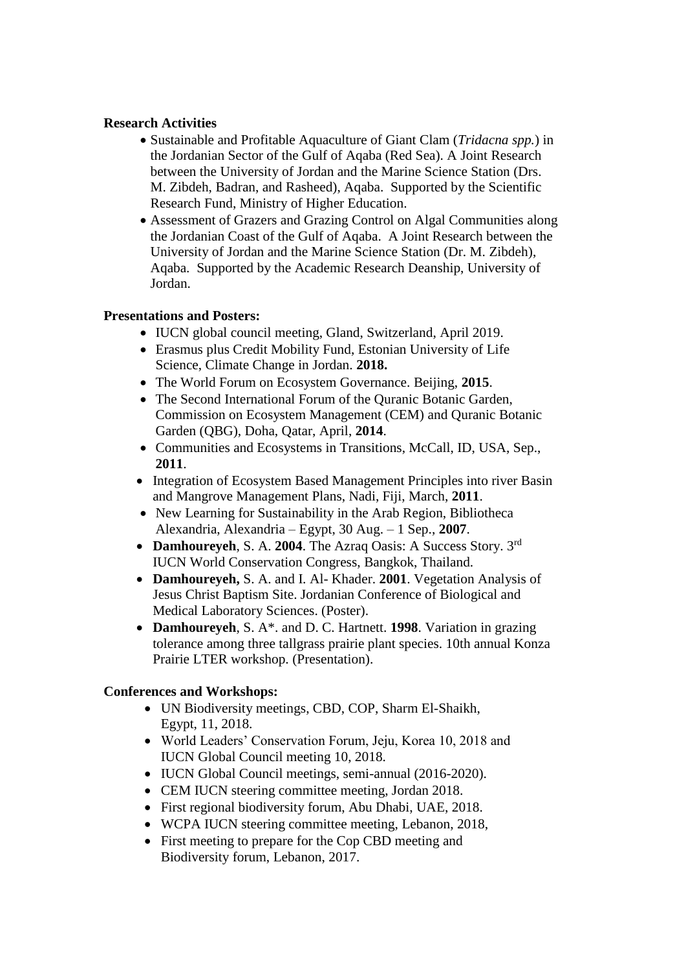#### **Research Activities**

- Sustainable and Profitable Aquaculture of Giant Clam (*Tridacna spp.*) in the Jordanian Sector of the Gulf of Aqaba (Red Sea). A Joint Research between the University of Jordan and the Marine Science Station (Drs. M. Zibdeh, Badran, and Rasheed), Aqaba. Supported by the Scientific Research Fund, Ministry of Higher Education.
- Assessment of Grazers and Grazing Control on Algal Communities along the Jordanian Coast of the Gulf of Aqaba. A Joint Research between the University of Jordan and the Marine Science Station (Dr. M. Zibdeh), Aqaba. Supported by the Academic Research Deanship, University of Jordan.

# **Presentations and Posters:**

- IUCN global council meeting, Gland, Switzerland, April 2019.
- Erasmus plus Credit Mobility Fund, Estonian University of Life Science, Climate Change in Jordan. **2018.**
- The World Forum on Ecosystem Governance. Beijing, **2015**.
- The Second International Forum of the Ouranic Botanic Garden, Commission on Ecosystem Management (CEM) and Quranic Botanic Garden (QBG), Doha, Qatar, April, **2014**.
- Communities and Ecosystems in Transitions, McCall, ID, USA, Sep., **2011**.
- Integration of Ecosystem Based Management Principles into river Basin and Mangrove Management Plans, Nadi, Fiji, March, **2011**.
- New Learning for Sustainability in the Arab Region, Bibliotheca Alexandria, Alexandria – Egypt, 30 Aug. – 1 Sep., **2007**.
- **Damhoureyeh**, S. A. **2004**. The Azraq Oasis: A Success Story. 3rd IUCN World Conservation Congress, Bangkok, Thailand.
- **Damhoureyeh,** S. A. and I. Al- Khader. **2001**. Vegetation Analysis of Jesus Christ Baptism Site. Jordanian Conference of Biological and Medical Laboratory Sciences. (Poster).
- **Damhoureyeh**, S. A\*. and D. C. Hartnett. **1998**. Variation in grazing tolerance among three tallgrass prairie plant species. 10th annual Konza Prairie LTER workshop. (Presentation).

# **Conferences and Workshops:**

- UN Biodiversity meetings, CBD, COP, Sharm El-Shaikh, Egypt, 11, 2018.
- World Leaders' Conservation Forum, Jeju, Korea 10, 2018 and IUCN Global Council meeting 10, 2018.
- IUCN Global Council meetings, semi-annual (2016-2020).
- CEM IUCN steering committee meeting, Jordan 2018.
- First regional biodiversity forum, Abu Dhabi, UAE, 2018.
- WCPA IUCN steering committee meeting, Lebanon, 2018,
- First meeting to prepare for the Cop CBD meeting and Biodiversity forum, Lebanon, 2017.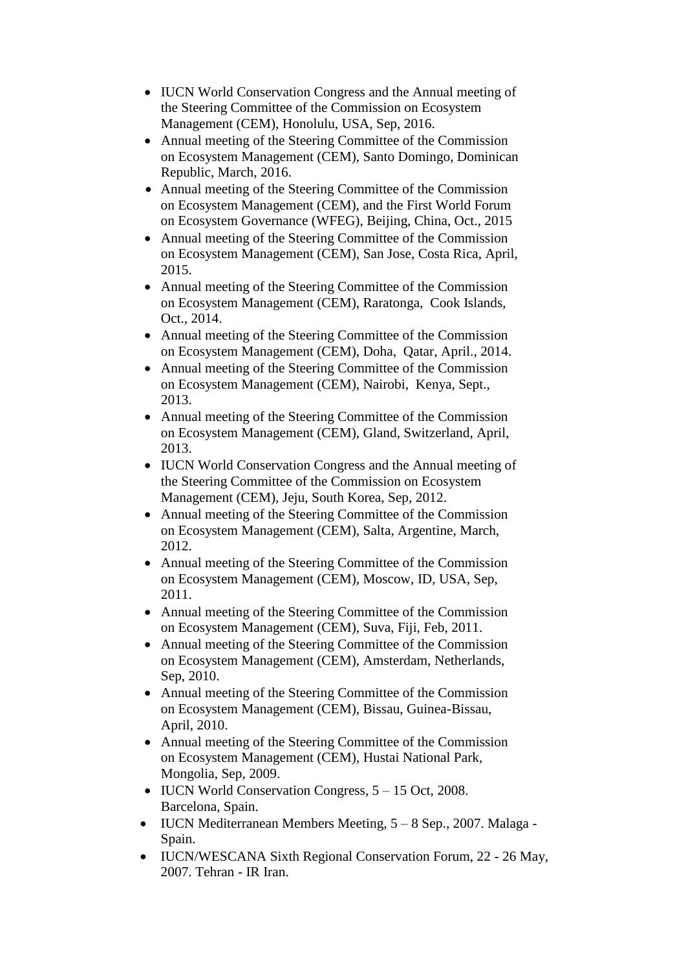- IUCN World Conservation Congress and the Annual meeting of the Steering Committee of the Commission on Ecosystem Management (CEM), Honolulu, USA, Sep, 2016.
- Annual meeting of the Steering Committee of the Commission on Ecosystem Management (CEM), Santo Domingo, Dominican Republic, March, 2016.
- Annual meeting of the Steering Committee of the Commission on Ecosystem Management (CEM), and the First World Forum on Ecosystem Governance (WFEG), Beijing, China, Oct., 2015
- Annual meeting of the Steering Committee of the Commission on Ecosystem Management (CEM), San Jose, Costa Rica, April, 2015.
- Annual meeting of the Steering Committee of the Commission on Ecosystem Management (CEM), Raratonga, Cook Islands, Oct., 2014.
- Annual meeting of the Steering Committee of the Commission on Ecosystem Management (CEM), Doha, Qatar, April., 2014.
- Annual meeting of the Steering Committee of the Commission on Ecosystem Management (CEM), Nairobi, Kenya, Sept., 2013.
- Annual meeting of the Steering Committee of the Commission on Ecosystem Management (CEM), Gland, Switzerland, April, 2013.
- IUCN World Conservation Congress and the Annual meeting of the Steering Committee of the Commission on Ecosystem Management (CEM), Jeju, South Korea, Sep, 2012.
- Annual meeting of the Steering Committee of the Commission on Ecosystem Management (CEM), Salta, Argentine, March, 2012.
- Annual meeting of the Steering Committee of the Commission on Ecosystem Management (CEM), Moscow, ID, USA, Sep, 2011.
- Annual meeting of the Steering Committee of the Commission on Ecosystem Management (CEM), Suva, Fiji, Feb, 2011.
- Annual meeting of the Steering Committee of the Commission on Ecosystem Management (CEM), Amsterdam, Netherlands, Sep, 2010.
- Annual meeting of the Steering Committee of the Commission on Ecosystem Management (CEM), Bissau, Guinea-Bissau, April, 2010.
- Annual meeting of the Steering Committee of the Commission on Ecosystem Management (CEM), Hustai National Park, Mongolia, Sep, 2009.
- $\bullet$  IUCN World Conservation Congress,  $5 15$  Oct, 2008. Barcelona, Spain.
- IUCN Mediterranean Members Meeting, 5 8 Sep., 2007. Malaga Spain.
- IUCN/WESCANA Sixth Regional Conservation Forum, 22 26 May, 2007. Tehran - IR Iran.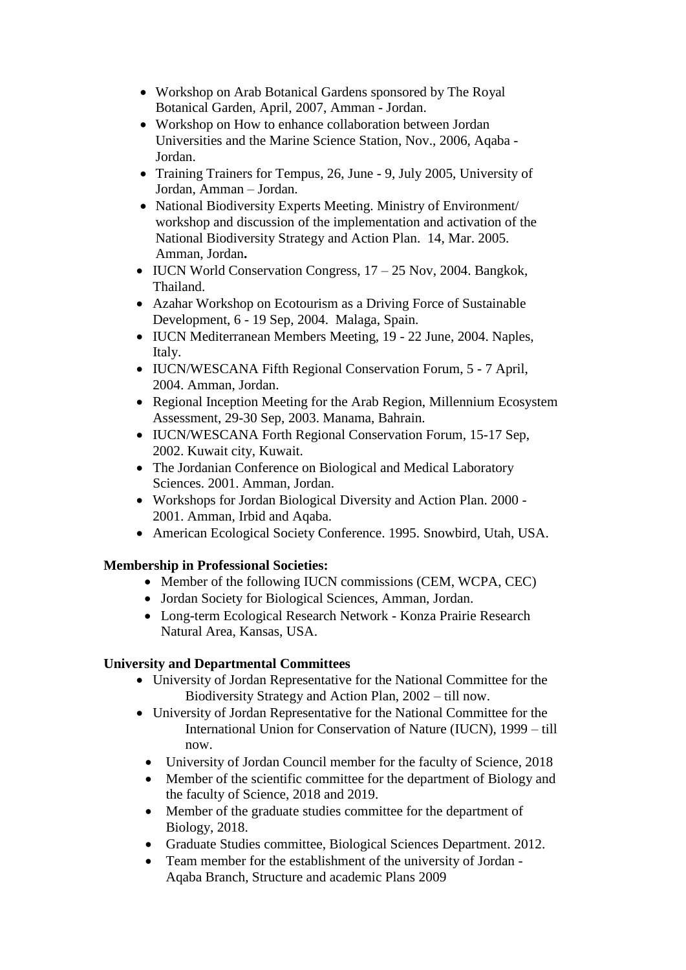- Workshop on Arab Botanical Gardens sponsored by The Royal Botanical Garden, April, 2007, Amman - Jordan.
- Workshop on How to enhance collaboration between Jordan Universities and the Marine Science Station, Nov., 2006, Aqaba - Jordan.
- Training Trainers for Tempus, 26, June 9, July 2005, University of Jordan, Amman – Jordan.
- National Biodiversity Experts Meeting. Ministry of Environment/ workshop and discussion of the implementation and activation of the National Biodiversity Strategy and Action Plan. 14, Mar. 2005. Amman, Jordan**.**
- $\bullet$  IUCN World Conservation Congress,  $17 25$  Nov, 2004. Bangkok, Thailand.
- Azahar Workshop on Ecotourism as a Driving Force of Sustainable Development, 6 - 19 Sep, 2004. Malaga, Spain.
- IUCN Mediterranean Members Meeting, 19 22 June, 2004. Naples, Italy.
- IUCN/WESCANA Fifth Regional Conservation Forum, 5 7 April, 2004. Amman, Jordan.
- Regional Inception Meeting for the Arab Region, Millennium Ecosystem Assessment, 29-30 Sep, 2003. Manama, Bahrain.
- IUCN/WESCANA Forth Regional Conservation Forum, 15-17 Sep, 2002. Kuwait city, Kuwait.
- The Jordanian Conference on Biological and Medical Laboratory Sciences. 2001. Amman, Jordan.
- Workshops for Jordan Biological Diversity and Action Plan. 2000 2001. Amman, Irbid and Aqaba.
- American Ecological Society Conference. 1995. Snowbird, Utah, USA.

# **Membership in Professional Societies:**

- Member of the following IUCN commissions (CEM, WCPA, CEC)
- Jordan Society for Biological Sciences, Amman, Jordan.
- Long-term Ecological Research Network Konza Prairie Research Natural Area, Kansas, USA.

# **University and Departmental Committees**

- University of Jordan Representative for the National Committee for the Biodiversity Strategy and Action Plan, 2002 – till now.
- University of Jordan Representative for the National Committee for the International Union for Conservation of Nature (IUCN), 1999 – till now.
	- University of Jordan Council member for the faculty of Science, 2018
	- Member of the scientific committee for the department of Biology and the faculty of Science, 2018 and 2019.
	- Member of the graduate studies committee for the department of Biology, 2018.
	- Graduate Studies committee, Biological Sciences Department. 2012.
	- Team member for the establishment of the university of Jordan Aqaba Branch, Structure and academic Plans 2009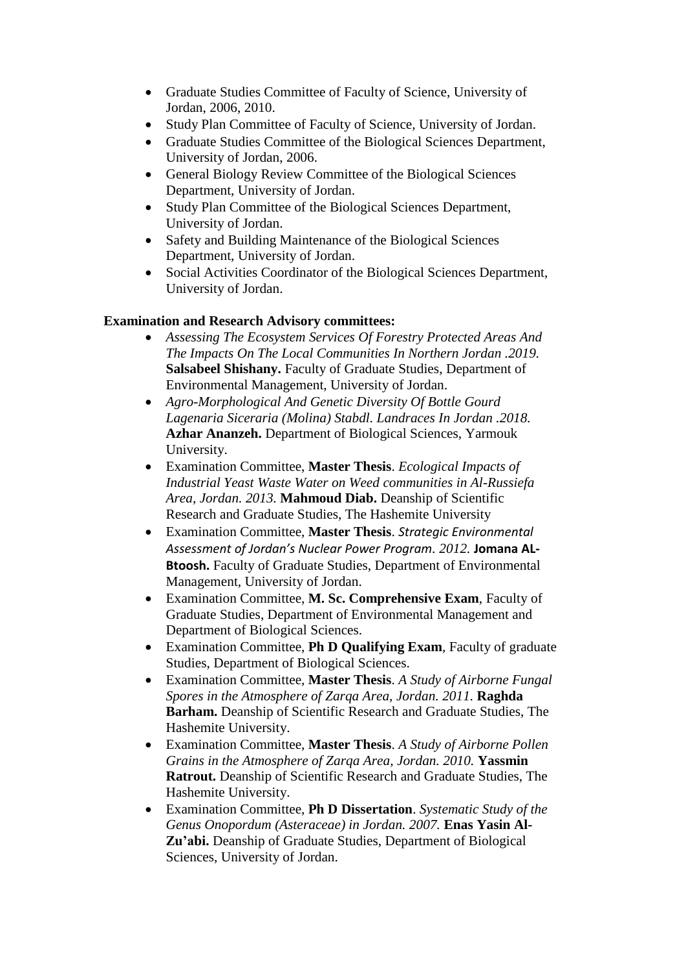- Graduate Studies Committee of Faculty of Science, University of Jordan, 2006, 2010.
- Study Plan Committee of Faculty of Science, University of Jordan.
- Graduate Studies Committee of the Biological Sciences Department, University of Jordan, 2006.
- General Biology Review Committee of the Biological Sciences Department, University of Jordan.
- Study Plan Committee of the Biological Sciences Department, University of Jordan.
- Safety and Building Maintenance of the Biological Sciences Department, University of Jordan.
- Social Activities Coordinator of the Biological Sciences Department, University of Jordan.

# **Examination and Research Advisory committees:**

- *Assessing The Ecosystem Services Of Forestry Protected Areas And The Impacts On The Local Communities In Northern Jordan .2019.* **Salsabeel Shishany.** Faculty of Graduate Studies, Department of Environmental Management, University of Jordan.
- *Agro-Morphological And Genetic Diversity Of Bottle Gourd Lagenaria Siceraria (Molina) Stabdl. Landraces In Jordan .2018.* **Azhar Ananzeh.** Department of Biological Sciences, Yarmouk University.
- Examination Committee, **Master Thesis**. *Ecological Impacts of Industrial Yeast Waste Water on Weed communities in Al-Russiefa Area, Jordan. 2013.* **Mahmoud Diab.** Deanship of Scientific Research and Graduate Studies, The Hashemite University
- Examination Committee, **Master Thesis**. *Strategic Environmental Assessment of Jordan's Nuclear Power Program. 2012.* **Jomana AL-Btoosh.** Faculty of Graduate Studies, Department of Environmental Management, University of Jordan.
- Examination Committee, **M. Sc. Comprehensive Exam**, Faculty of Graduate Studies, Department of Environmental Management and Department of Biological Sciences.
- Examination Committee, **Ph D Qualifying Exam**, Faculty of graduate Studies, Department of Biological Sciences.
- Examination Committee, **Master Thesis**. *A Study of Airborne Fungal Spores in the Atmosphere of Zarqa Area, Jordan. 2011.* **Raghda Barham.** Deanship of Scientific Research and Graduate Studies, The Hashemite University.
- Examination Committee, **Master Thesis**. *A Study of Airborne Pollen Grains in the Atmosphere of Zarqa Area, Jordan. 2010.* **Yassmin Ratrout.** Deanship of Scientific Research and Graduate Studies, The Hashemite University.
- Examination Committee, **Ph D Dissertation**. *Systematic Study of the Genus Onopordum (Asteraceae) in Jordan. 2007.* **Enas Yasin Al-Zu'abi.** Deanship of Graduate Studies, Department of Biological Sciences, University of Jordan.